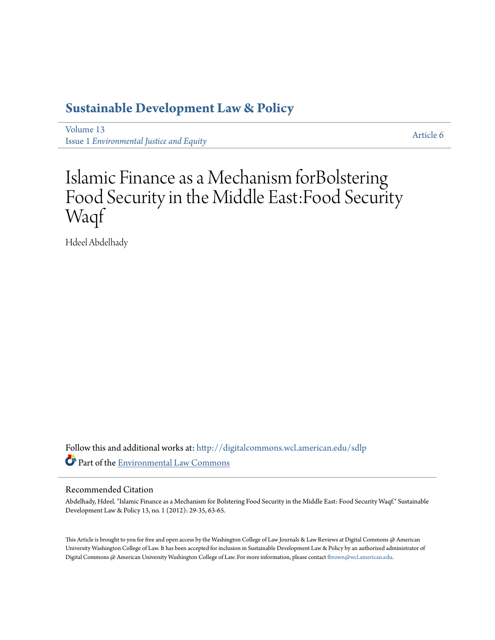### **[Sustainable Development Law & Policy](http://digitalcommons.wcl.american.edu/sdlp?utm_source=digitalcommons.wcl.american.edu%2Fsdlp%2Fvol13%2Fiss1%2F6&utm_medium=PDF&utm_campaign=PDFCoverPages)**

[Volume 13](http://digitalcommons.wcl.american.edu/sdlp/vol13?utm_source=digitalcommons.wcl.american.edu%2Fsdlp%2Fvol13%2Fiss1%2F6&utm_medium=PDF&utm_campaign=PDFCoverPages) Issue 1 *[Environmental Justice and Equity](http://digitalcommons.wcl.american.edu/sdlp/vol13/iss1?utm_source=digitalcommons.wcl.american.edu%2Fsdlp%2Fvol13%2Fiss1%2F6&utm_medium=PDF&utm_campaign=PDFCoverPages)*

[Article 6](http://digitalcommons.wcl.american.edu/sdlp/vol13/iss1/6?utm_source=digitalcommons.wcl.american.edu%2Fsdlp%2Fvol13%2Fiss1%2F6&utm_medium=PDF&utm_campaign=PDFCoverPages)

## Islamic Finance as a Mechanism forBolstering Food Security in the Middle East:Food Security Waqf

Hdeel Abdelhady

Follow this and additional works at: [http://digitalcommons.wcl.american.edu/sdlp](http://digitalcommons.wcl.american.edu/sdlp?utm_source=digitalcommons.wcl.american.edu%2Fsdlp%2Fvol13%2Fiss1%2F6&utm_medium=PDF&utm_campaign=PDFCoverPages) Part of the [Environmental Law Commons](http://network.bepress.com/hgg/discipline/599?utm_source=digitalcommons.wcl.american.edu%2Fsdlp%2Fvol13%2Fiss1%2F6&utm_medium=PDF&utm_campaign=PDFCoverPages)

#### Recommended Citation

Abdelhady, Hdeel. "Islamic Finance as a Mechanism for Bolstering Food Security in the Middle East: Food Security Waqf." Sustainable Development Law & Policy 13, no. 1 (2012): 29-35, 63-65.

This Article is brought to you for free and open access by the Washington College of Law Journals & Law Reviews at Digital Commons @ American University Washington College of Law. It has been accepted for inclusion in Sustainable Development Law & Policy by an authorized administrator of Digital Commons @ American University Washington College of Law. For more information, please contact [fbrown@wcl.american.edu](mailto:fbrown@wcl.american.edu).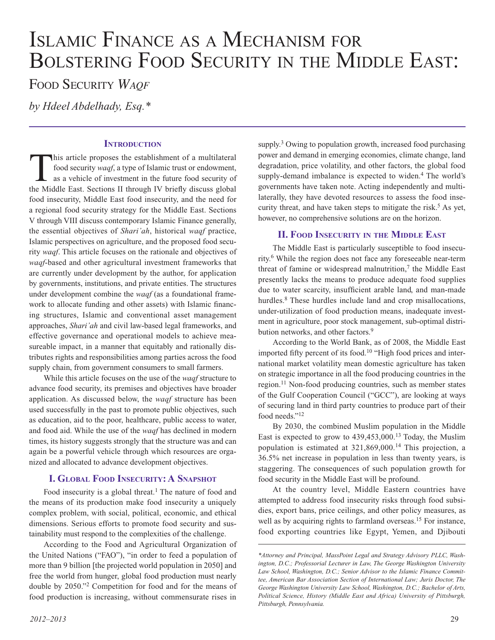# Islamic Finance as <sup>a</sup> Mechanism for BOLSTERING FOOD SECURITY IN THE MIDDLE EAST:

Food Security *Waqf*

*by Hdeel Abdelhady, Esq.\**

#### **INTRODUCTION**

This article proposes the establishment of a multilateral food security *waqf*, a type of Islamic trust or endowment, as a vehicle of investment in the future food security of the Middle East. Sections II through IV briefly discuss global food insecurity, Middle East food insecurity, and the need for a regional food security strategy for the Middle East. Sections V through VIII discuss contemporary Islamic Finance generally, the essential objectives of *Shari'ah*, historical *waqf* practice, Islamic perspectives on agriculture, and the proposed food security *waqf*. This article focuses on the rationale and objectives of *waqf*-based and other agricultural investment frameworks that are currently under development by the author, for application by governments, institutions, and private entities. The structures under development combine the *waqf* (as a foundational framework to allocate funding and other assets) with Islamic financing structures, Islamic and conventional asset management approaches, *Shari'ah* and civil law-based legal frameworks, and effective governance and operational models to achieve measureable impact, in a manner that equitably and rationally distributes rights and responsibilities among parties across the food supply chain, from government consumers to small farmers.

While this article focuses on the use of the *waqf* structure to advance food security, its premises and objectives have broader application. As discussed below, the *waqf* structure has been used successfully in the past to promote public objectives, such as education, aid to the poor, healthcare, public access to water, and food aid. While the use of the *waqf* has declined in modern times, its history suggests strongly that the structure was and can again be a powerful vehicle through which resources are organized and allocated to advance development objectives.

#### **I. GLOBAL FOOD INSECURITY: A SNAPSHOT**

Food insecurity is a global threat.<sup>1</sup> The nature of food and the means of its production make food insecurity a uniquely complex problem, with social, political, economic, and ethical dimensions. Serious efforts to promote food security and sustainability must respond to the complexities of the challenge.

According to the Food and Agricultural Organization of the United Nations ("FAO"), "in order to feed a population of more than 9 billion [the projected world population in 2050] and free the world from hunger, global food production must nearly double by 2050."2 Competition for food and for the means of food production is increasing, without commensurate rises in

supply.<sup>3</sup> Owing to population growth, increased food purchasing power and demand in emerging economies, climate change, land degradation, price volatility, and other factors, the global food supply-demand imbalance is expected to widen.<sup>4</sup> The world's governments have taken note. Acting independently and multilaterally, they have devoted resources to assess the food insecurity threat, and have taken steps to mitigate the risk.<sup>5</sup> As yet, however, no comprehensive solutions are on the horizon.

#### **II. Food Insecurity in the Middle East**

The Middle East is particularly susceptible to food insecurity.6 While the region does not face any foreseeable near-term threat of famine or widespread malnutrition, $\tau$  the Middle East presently lacks the means to produce adequate food supplies due to water scarcity, insufficient arable land, and man-made hurdles.<sup>8</sup> These hurdles include land and crop misallocations, under-utilization of food production means, inadequate investment in agriculture, poor stock management, sub-optimal distribution networks, and other factors.<sup>9</sup>

According to the World Bank, as of 2008, the Middle East imported fifty percent of its food.10 "High food prices and international market volatility mean domestic agriculture has taken on strategic importance in all the food producing countries in the region.11 Non-food producing countries, such as member states of the Gulf Cooperation Council ("GCC"), are looking at ways of securing land in third party countries to produce part of their food needs."12

By 2030, the combined Muslim population in the Middle East is expected to grow to 439,453,000.13 Today, the Muslim population is estimated at  $321,869,000$ .<sup>14</sup> This projection, a 36.5% net increase in population in less than twenty years, is staggering. The consequences of such population growth for food security in the Middle East will be profound.

At the country level, Middle Eastern countries have attempted to address food insecurity risks through food subsidies, export bans, price ceilings, and other policy measures, as well as by acquiring rights to farmland overseas.<sup>15</sup> For instance, food exporting countries like Egypt, Yemen, and Djibouti

*<sup>\*</sup>Attorney and Principal, MassPoint Legal and Strategy Advisory PLLC, Washington, D.C.; Professorial Lecturer in Law, The George Washington University Law School, Washington, D.C.; Senior Advisor to the Islamic Finance Committee, American Bar Association Section of International Law; Juris Doctor, The George Washington University Law School, Washington, D.C.; Bachelor of Arts, Political Science, History (Middle East and Africa) University of Pittsburgh, Pittsburgh, Pennsylvania.*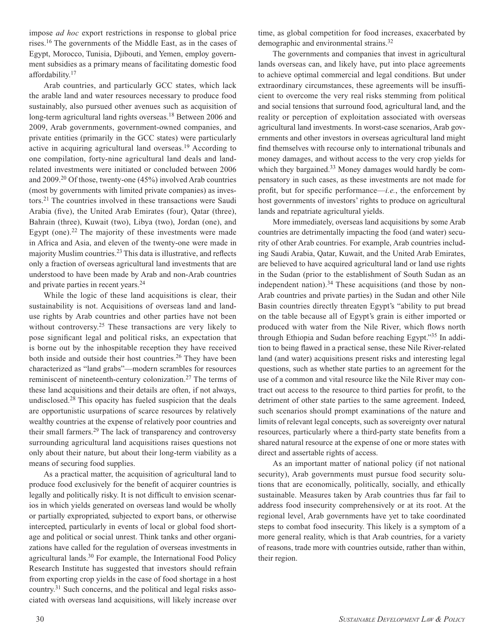impose *ad hoc* export restrictions in response to global price rises.16 The governments of the Middle East, as in the cases of Egypt, Morocco, Tunisia, Djibouti, and Yemen, employ government subsidies as a primary means of facilitating domestic food affordability.17

Arab countries, and particularly GCC states, which lack the arable land and water resources necessary to produce food sustainably, also pursued other avenues such as acquisition of long-term agricultural land rights overseas.<sup>18</sup> Between 2006 and 2009, Arab governments, government-owned companies, and private entities (primarily in the GCC states) were particularly active in acquiring agricultural land overseas.19 According to one compilation, forty-nine agricultural land deals and landrelated investments were initiated or concluded between 2006 and 2009.20 Of those, twenty-one (45%) involved Arab countries (most by governments with limited private companies) as investors.21 The countries involved in these transactions were Saudi Arabia (five), the United Arab Emirates (four), Qatar (three), Bahrain (three), Kuwait (two), Libya (two), Jordan (one), and Egypt (one).<sup>22</sup> The majority of these investments were made in Africa and Asia, and eleven of the twenty-one were made in majority Muslim countries.23 This data is illustrative, and reflects only a fraction of overseas agricultural land investments that are understood to have been made by Arab and non-Arab countries and private parties in recent years.24

While the logic of these land acquisitions is clear, their sustainability is not. Acquisitions of overseas land and landuse rights by Arab countries and other parties have not been without controversy.<sup>25</sup> These transactions are very likely to pose significant legal and political risks, an expectation that is borne out by the inhospitable reception they have received both inside and outside their host countries.<sup>26</sup> They have been characterized as "land grabs"—modern scrambles for resources reminiscent of nineteenth-century colonization.27 The terms of these land acquisitions and their details are often, if not always, undisclosed.28 This opacity has fueled suspicion that the deals are opportunistic usurpations of scarce resources by relatively wealthy countries at the expense of relatively poor countries and their small farmers.29 The lack of transparency and controversy surrounding agricultural land acquisitions raises questions not only about their nature, but about their long-term viability as a means of securing food supplies.

As a practical matter, the acquisition of agricultural land to produce food exclusively for the benefit of acquirer countries is legally and politically risky. It is not difficult to envision scenarios in which yields generated on overseas land would be wholly or partially expropriated, subjected to export bans, or otherwise intercepted, particularly in events of local or global food shortage and political or social unrest. Think tanks and other organizations have called for the regulation of overseas investments in agricultural lands.<sup>30</sup> For example, the International Food Policy Research Institute has suggested that investors should refrain from exporting crop yields in the case of food shortage in a host country.31 Such concerns, and the political and legal risks associated with overseas land acquisitions, will likely increase over

time, as global competition for food increases, exacerbated by demographic and environmental strains.32

The governments and companies that invest in agricultural lands overseas can, and likely have, put into place agreements to achieve optimal commercial and legal conditions. But under extraordinary circumstances, these agreements will be insufficient to overcome the very real risks stemming from political and social tensions that surround food, agricultural land, and the reality or perception of exploitation associated with overseas agricultural land investments. In worst-case scenarios, Arab governments and other investors in overseas agricultural land might find themselves with recourse only to international tribunals and money damages, and without access to the very crop yields for which they bargained.<sup>33</sup> Money damages would hardly be compensatory in such cases, as these investments are not made for profit, but for specific performance—*i.e.*, the enforcement by host governments of investors' rights to produce on agricultural lands and repatriate agricultural yields.

More immediately, overseas land acquisitions by some Arab countries are detrimentally impacting the food (and water) security of other Arab countries. For example, Arab countries including Saudi Arabia, Qatar, Kuwait, and the United Arab Emirates, are believed to have acquired agricultural land or land use rights in the Sudan (prior to the establishment of South Sudan as an independent nation). $34$  These acquisitions (and those by non-Arab countries and private parties) in the Sudan and other Nile Basin countries directly threaten Egypt's "ability to put bread on the table because all of Egypt's grain is either imported or produced with water from the Nile River, which flows north through Ethiopia and Sudan before reaching Egypt."35 In addition to being flawed in a practical sense, these Nile River-related land (and water) acquisitions present risks and interesting legal questions, such as whether state parties to an agreement for the use of a common and vital resource like the Nile River may contract out access to the resource to third parties for profit, to the detriment of other state parties to the same agreement. Indeed, such scenarios should prompt examinations of the nature and limits of relevant legal concepts, such as sovereignty over natural resources, particularly where a third-party state benefits from a shared natural resource at the expense of one or more states with direct and assertable rights of access.

As an important matter of national policy (if not national security), Arab governments must pursue food security solutions that are economically, politically, socially, and ethically sustainable. Measures taken by Arab countries thus far fail to address food insecurity comprehensively or at its root. At the regional level, Arab governments have yet to take coordinated steps to combat food insecurity. This likely is a symptom of a more general reality, which is that Arab countries, for a variety of reasons, trade more with countries outside, rather than within, their region.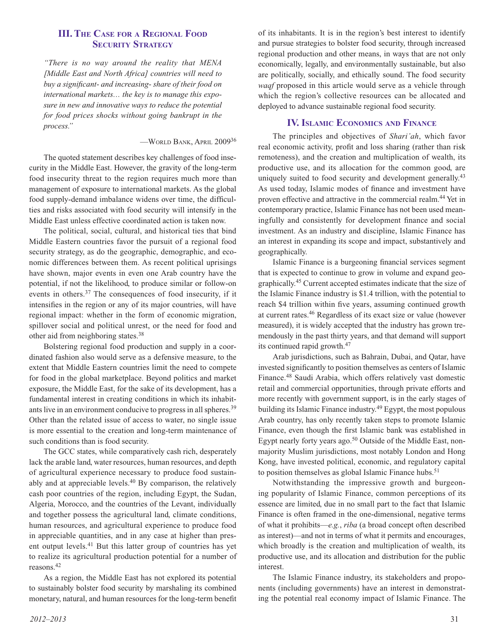#### **III. The Case for <sup>a</sup> Regional Food SECURITY STRATEGY**

*"There is no way around the reality that MENA [Middle East and North Africa] countries will need to buy a significant- and increasing- share of their food on international markets… the key is to manage this exposure in new and innovative ways to reduce the potential for food prices shocks without going bankrupt in the process."*

—World Bank, April 2009<sup>36</sup>

The quoted statement describes key challenges of food insecurity in the Middle East. However, the gravity of the long-term food insecurity threat to the region requires much more than management of exposure to international markets. As the global food supply-demand imbalance widens over time, the difficulties and risks associated with food security will intensify in the Middle East unless effective coordinated action is taken now.

The political, social, cultural, and historical ties that bind Middle Eastern countries favor the pursuit of a regional food security strategy, as do the geographic, demographic, and economic differences between them. As recent political uprisings have shown, major events in even one Arab country have the potential, if not the likelihood, to produce similar or follow-on events in others.37 The consequences of food insecurity, if it intensifies in the region or any of its major countries, will have regional impact: whether in the form of economic migration, spillover social and political unrest, or the need for food and other aid from neighboring states.38

Bolstering regional food production and supply in a coordinated fashion also would serve as a defensive measure, to the extent that Middle Eastern countries limit the need to compete for food in the global marketplace. Beyond politics and market exposure, the Middle East, for the sake of its development, has a fundamental interest in creating conditions in which its inhabitants live in an environment conducive to progress in all spheres.<sup>39</sup> Other than the related issue of access to water, no single issue is more essential to the creation and long-term maintenance of such conditions than is food security.

The GCC states, while comparatively cash rich, desperately lack the arable land, water resources, human resources, and depth of agricultural experience necessary to produce food sustainably and at appreciable levels.40 By comparison, the relatively cash poor countries of the region, including Egypt, the Sudan, Algeria, Morocco, and the countries of the Levant, individually and together possess the agricultural land, climate conditions, human resources, and agricultural experience to produce food in appreciable quantities, and in any case at higher than present output levels.41 But this latter group of countries has yet to realize its agricultural production potential for a number of reasons.42

As a region, the Middle East has not explored its potential to sustainably bolster food security by marshaling its combined monetary, natural, and human resources for the long-term benefit of its inhabitants. It is in the region's best interest to identify and pursue strategies to bolster food security, through increased regional production and other means, in ways that are not only economically, legally, and environmentally sustainable, but also are politically, socially, and ethically sound. The food security *waqf* proposed in this article would serve as a vehicle through which the region's collective resources can be allocated and deployed to advance sustainable regional food security.

#### **IV. ISLAMIC ECONOMICS AND FINANCE**

The principles and objectives of *Shari'ah*, which favor real economic activity, profit and loss sharing (rather than risk remoteness), and the creation and multiplication of wealth, its productive use, and its allocation for the common good, are uniquely suited to food security and development generally.<sup>43</sup> As used today, Islamic modes of finance and investment have proven effective and attractive in the commercial realm.44 Yet in contemporary practice, Islamic Finance has not been used meaningfully and consistently for development finance and social investment. As an industry and discipline, Islamic Finance has an interest in expanding its scope and impact, substantively and geographically.

Islamic Finance is a burgeoning financial services segment that is expected to continue to grow in volume and expand geographically.45 Current accepted estimates indicate that the size of the Islamic Finance industry is \$1.4 trillion, with the potential to reach \$4 trillion within five years, assuming continued growth at current rates.46 Regardless of its exact size or value (however measured), it is widely accepted that the industry has grown tremendously in the past thirty years, and that demand will support its continued rapid growth.47

Arab jurisdictions, such as Bahrain, Dubai, and Qatar, have invested significantly to position themselves as centers of Islamic Finance.48 Saudi Arabia, which offers relatively vast domestic retail and commercial opportunities, through private efforts and more recently with government support, is in the early stages of building its Islamic Finance industry.49 Egypt, the most populous Arab country, has only recently taken steps to promote Islamic Finance, even though the first Islamic bank was established in Egypt nearly forty years ago. $50$  Outside of the Middle East, nonmajority Muslim jurisdictions, most notably London and Hong Kong, have invested political, economic, and regulatory capital to position themselves as global Islamic Finance hubs.<sup>51</sup>

Notwithstanding the impressive growth and burgeoning popularity of Islamic Finance, common perceptions of its essence are limited, due in no small part to the fact that Islamic Finance is often framed in the one-dimensional, negative terms of what it prohibits—*e.g.*, *riba* (a broad concept often described as interest)—and not in terms of what it permits and encourages, which broadly is the creation and multiplication of wealth, its productive use, and its allocation and distribution for the public interest.

The Islamic Finance industry, its stakeholders and proponents (including governments) have an interest in demonstrating the potential real economy impact of Islamic Finance. The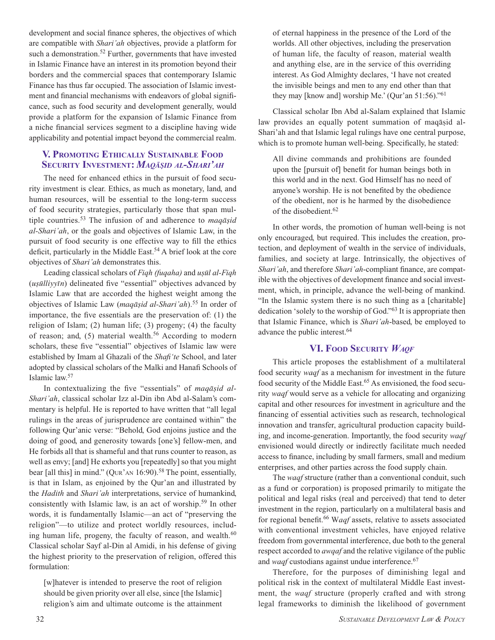development and social finance spheres, the objectives of which are compatible with *Shari'ah* objectives, provide a platform for such a demonstration.<sup>52</sup> Further, governments that have invested in Islamic Finance have an interest in its promotion beyond their borders and the commercial spaces that contemporary Islamic Finance has thus far occupied. The association of Islamic investment and financial mechanisms with endeavors of global significance, such as food security and development generally, would provide a platform for the expansion of Islamic Finance from a niche financial services segment to a discipline having wide applicability and potential impact beyond the commercial realm.

#### **V. Promoting Ethically Sustainable Food Security Investment:** *Maqāṣid al-Shari'ah*

The need for enhanced ethics in the pursuit of food security investment is clear. Ethics, as much as monetary, land, and human resources, will be essential to the long-term success of food security strategies, particularly those that span multiple countries.53 The infusion of and adherence to *maqāṣid al-Shari'ah*, or the goals and objectives of Islamic Law, in the pursuit of food security is one effective way to fill the ethics deficit, particularly in the Middle East.54 A brief look at the core objectives of *Shari'ah* demonstrates this.

Leading classical scholars of *Fiqh (fuqaha)* and *uṣūl al-Fiqh* (*uṣūlliyyīn*) delineated five "essential" objectives advanced by Islamic Law that are accorded the highest weight among the objectives of Islamic Law (*maqāṣid al-Shari'ah*).55 In order of importance, the five essentials are the preservation of: (1) the religion of Islam; (2) human life; (3) progeny; (4) the faculty of reason; and,  $(5)$  material wealth.<sup>56</sup> According to modern scholars, these five "essential" objectives of Islamic law were established by Imam al Ghazali of the *Shafi'te* School, and later adopted by classical scholars of the Malki and Hanafi Schools of Islamic law.57

In contextualizing the five "essentials" of *maqāṣid al-Shari'ah*, classical scholar Izz al-Din ibn Abd al-Salam's commentary is helpful. He is reported to have written that "all legal rulings in the areas of jurisprudence are contained within" the following Qur'anic verse: "Behold, God enjoins justice and the doing of good, and generosity towards [one's] fellow-men, and He forbids all that is shameful and that runs counter to reason, as well as envy; [and] He exhorts you [repeatedly] so that you might bear [all this] in mind." (QUR'AN  $16:90$ ).<sup>58</sup> The point, essentially, is that in Islam, as enjoined by the Qur'an and illustrated by the *Hadith* and *Shari'ah* interpretations, service of humankind, consistently with Islamic law, is an act of worship.59 In other words, it is fundamentally Islamic—an act of "preserving the religion"—to utilize and protect worldly resources, including human life, progeny, the faculty of reason, and wealth.<sup>60</sup> Classical scholar Sayf al-Din al Amidi, in his defense of giving the highest priority to the preservation of religion, offered this formulation:

[w]hatever is intended to preserve the root of religion should be given priority over all else, since [the Islamic] religion's aim and ultimate outcome is the attainment

of eternal happiness in the presence of the Lord of the worlds. All other objectives, including the preservation of human life, the faculty of reason, material wealth and anything else, are in the service of this overriding interest. As God Almighty declares, 'I have not created the invisible beings and men to any end other than that they may [know and] worship Me.' (Qur'an 51:56)."61

Classical scholar Ibn Abd al-Salam explained that Islamic law provides an equally potent summation of maqāsid al-Shari'ah and that Islamic legal rulings have one central purpose, which is to promote human well-being. Specifically, he stated:

All divine commands and prohibitions are founded upon the [pursuit of] benefit for human beings both in this world and in the next. God Himself has no need of anyone's worship. He is not benefited by the obedience of the obedient, nor is he harmed by the disobedience of the disobedient.62

In other words, the promotion of human well-being is not only encouraged, but required. This includes the creation, protection, and deployment of wealth in the service of individuals, families, and society at large. Intrinsically, the objectives of *Shari'ah*, and therefore *Shari'ah*-compliant finance, are compatible with the objectives of development finance and social investment, which, in principle, advance the well-being of mankind. "In the Islamic system there is no such thing as a [charitable] dedication 'solely to the worship of God."63 It is appropriate then that Islamic Finance, which is *Shari'ah*-based, be employed to advance the public interest.64

#### **VI. Food Security** *Waqf*

This article proposes the establishment of a multilateral food security *waqf* as a mechanism for investment in the future food security of the Middle East.<sup>65</sup> As envisioned, the food security *waqf* would serve as a vehicle for allocating and organizing capital and other resources for investment in agriculture and the financing of essential activities such as research, technological innovation and transfer, agricultural production capacity building, and income-generation. Importantly, the food security *waqf* envisioned would directly or indirectly facilitate much needed access to finance, including by small farmers, small and medium enterprises, and other parties across the food supply chain.

The *waqf* structure (rather than a conventional conduit, such as a fund or corporation) is proposed primarily to mitigate the political and legal risks (real and perceived) that tend to deter investment in the region, particularly on a multilateral basis and for regional benefit.66 W*aqf* assets, relative to assets associated with conventional investment vehicles, have enjoyed relative freedom from governmental interference, due both to the general respect accorded to *awqaf* and the relative vigilance of the public and *waqf* custodians against undue interference.<sup>67</sup>

Therefore, for the purposes of diminishing legal and political risk in the context of multilateral Middle East investment, the *waqf* structure (properly crafted and with strong legal frameworks to diminish the likelihood of government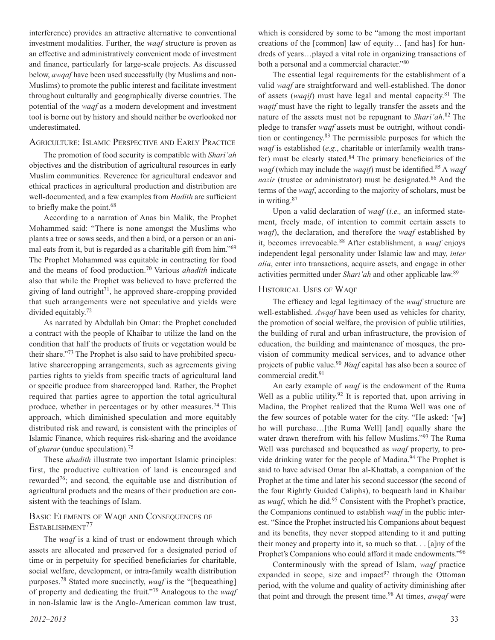interference) provides an attractive alternative to conventional investment modalities. Further, the *waqf* structure is proven as an effective and administratively convenient mode of investment and finance, particularly for large-scale projects. As discussed below, *awqaf* have been used successfully (by Muslims and non-Muslims) to promote the public interest and facilitate investment throughout culturally and geographically diverse countries. The potential of the *waqf* as a modern development and investment tool is borne out by history and should neither be overlooked nor underestimated.

#### Agriculture: Islamic Perspective and Early Practice

The promotion of food security is compatible with *Shari'ah* objectives and the distribution of agricultural resources in early Muslim communities. Reverence for agricultural endeavor and ethical practices in agricultural production and distribution are well-documented, and a few examples from *Hadith* are sufficient to briefly make the point.<sup>68</sup>

According to a narration of Anas bin Malik, the Prophet Mohammed said: "There is none amongst the Muslims who plants a tree or sows seeds, and then a bird, or a person or an animal eats from it, but is regarded as a charitable gift from him."69 The Prophet Mohammed was equitable in contracting for food and the means of food production.70 Various *ahadith* indicate also that while the Prophet was believed to have preferred the giving of land outright<sup>71</sup>, he approved share-cropping provided that such arrangements were not speculative and yields were divided equitably.72

As narrated by Abdullah bin Omar: the Prophet concluded a contract with the people of Khaibar to utilize the land on the condition that half the products of fruits or vegetation would be their share."73 The Prophet is also said to have prohibited speculative sharecropping arrangements, such as agreements giving parties rights to yields from specific tracts of agricultural land or specific produce from sharecropped land. Rather, the Prophet required that parties agree to apportion the total agricultural produce, whether in percentages or by other measures.74 This approach, which diminished speculation and more equitably distributed risk and reward, is consistent with the principles of Islamic Finance, which requires risk-sharing and the avoidance of *gharar* (undue speculation).75

These *ahadith* illustrate two important Islamic principles: first, the productive cultivation of land is encouraged and rewarded76; and second, the equitable use and distribution of agricultural products and the means of their production are consistent with the teachings of Islam.

#### Basic Elements of Waqf and Consequences of ESTABLISHMENT<sup>77</sup>

The *waqf* is a kind of trust or endowment through which assets are allocated and preserved for a designated period of time or in perpetuity for specified beneficiaries for charitable, social welfare, development, or intra-family wealth distribution purposes.78 Stated more succinctly, *waqf* is the "[bequeathing] of property and dedicating the fruit."79 Analogous to the *waqf* in non-Islamic law is the Anglo-American common law trust,

which is considered by some to be "among the most important creations of the [common] law of equity… [and has] for hundreds of years…played a vital role in organizing transactions of both a personal and a commercial character."80

The essential legal requirements for the establishment of a valid *waqf* are straightforward and well-established. The donor of assets (*waqif*) must have legal and mental capacity.81 The *waqif* must have the right to legally transfer the assets and the nature of the assets must not be repugnant to *Shari'ah*. 82 The pledge to transfer *waqf* assets must be outright, without condition or contingency.83 The permissible purposes for which the *waqf* is established (*e.g.*, charitable or interfamily wealth transfer) must be clearly stated. $84$  The primary beneficiaries of the *waqf* (which may include the *waqif*) must be identified.85 A *waqf nazir* (trustee or administrator) must be designated.<sup>86</sup> And the terms of the *waqf*, according to the majority of scholars, must be in writing.87

Upon a valid declaration of *waqf* (*i.e.,* an informed statement, freely made, of intention to commit certain assets to *waqf*), the declaration, and therefore the *waqf* established by it, becomes irrevocable.88 After establishment, a *waqf* enjoys independent legal personality under Islamic law and may, *inter alia*, enter into transactions, acquire assets, and engage in other activities permitted under *Shari'ah* and other applicable law.89

#### Historical Uses of Waqf

The efficacy and legal legitimacy of the *waqf* structure are well-established. *Awqaf* have been used as vehicles for charity, the promotion of social welfare, the provision of public utilities, the building of rural and urban infrastructure, the provision of education, the building and maintenance of mosques, the provision of community medical services, and to advance other projects of public value.90 *Waqf* capital has also been a source of commercial credit.<sup>91</sup>

An early example of *waqf* is the endowment of the Ruma Well as a public utility.<sup>92</sup> It is reported that, upon arriving in Madina, the Prophet realized that the Ruma Well was one of the few sources of potable water for the city. "He asked: '[w] ho will purchase…[the Ruma Well] [and] equally share the water drawn therefrom with his fellow Muslims."<sup>93</sup> The Ruma Well was purchased and bequeathed as *waqf* property, to provide drinking water for the people of Madina.<sup>94</sup> The Prophet is said to have advised Omar Ibn al-Khattab, a companion of the Prophet at the time and later his second successor (the second of the four Rightly Guided Caliphs), to bequeath land in Khaibar as *waqf*, which he did.95 Consistent with the Prophet's practice, the Companions continued to establish *waqf* in the public interest. "Since the Prophet instructed his Companions about bequest and its benefits, they never stopped attending to it and putting their money and property into it, so much so that. . . [a]ny of the Prophet's Companions who could afford it made endowments."96

Conterminously with the spread of Islam, *waqf* practice expanded in scope, size and impact<sup>97</sup> through the Ottoman period, with the volume and quality of activity diminishing after that point and through the present time.98 At times, *awqaf* were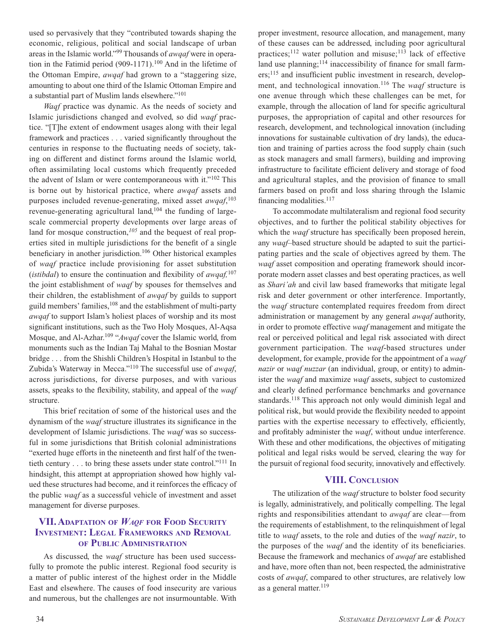used so pervasively that they "contributed towards shaping the economic, religious, political and social landscape of urban areas in the Islamic world."99 Thousands of *awqaf* were in operation in the Fatimid period (909-1171).100 And in the lifetime of the Ottoman Empire, *awqaf* had grown to a "staggering size, amounting to about one third of the Islamic Ottoman Empire and a substantial part of Muslim lands elsewhere."101

*Waqf* practice was dynamic. As the needs of society and Islamic jurisdictions changed and evolved, so did *waqf* practice. "[T]he extent of endowment usages along with their legal framework and practices . . . varied significantly throughout the centuries in response to the fluctuating needs of society, taking on different and distinct forms around the Islamic world, often assimilating local customs which frequently preceded the advent of Islam or were contemporaneous with it."102 This is borne out by historical practice, where *awqaf* assets and purposes included revenue-generating, mixed asset *awqaf*, 103 revenue-generating agricultural land,<sup>104</sup> the funding of largescale commercial property developments over large areas of land for mosque construction,*105* and the bequest of real properties sited in multiple jurisdictions for the benefit of a single beneficiary in another jurisdiction.<sup>106</sup> Other historical examples of *waqf* practice include provisioning for asset substitution (*istibdal*) to ensure the continuation and flexibility of *awqaf,*<sup>107</sup> the joint establishment of *waqf* by spouses for themselves and their children, the establishment of *awqaf* by guilds to support guild members' families,<sup>108</sup> and the establishment of multi-party *awqaf* to support Islam's holiest places of worship and its most significant institutions, such as the Two Holy Mosques, Al-Aqsa Mosque, and Al-Azhar.109 "*Awqaf* cover the Islamic world, from monuments such as the Indian Taj Mahal to the Bosnian Mostar bridge . . . from the Shishli Children's Hospital in Istanbul to the Zubida's Waterway in Mecca."110 The successful use of *awqaf*, across jurisdictions, for diverse purposes, and with various assets, speaks to the flexibility, stability, and appeal of the *waqf* structure.

This brief recitation of some of the historical uses and the dynamism of the *waqf* structure illustrates its significance in the development of Islamic jurisdictions. The *waqf* was so successful in some jurisdictions that British colonial administrations "exerted huge efforts in the nineteenth and first half of the twentieth century . . . to bring these assets under state control."111 In hindsight, this attempt at appropriation showed how highly valued these structures had become, and it reinforces the efficacy of the public *waqf* as a successful vehicle of investment and asset management for diverse purposes.

#### **VII. Adaptation of** *Waqf* **for Food Security INVESTMENT: LEGAL FRAMEWORKS AND REMOVAL of Public Administration**

As discussed, the *waqf* structure has been used successfully to promote the public interest. Regional food security is a matter of public interest of the highest order in the Middle East and elsewhere. The causes of food insecurity are various and numerous, but the challenges are not insurmountable. With

proper investment, resource allocation, and management, many of these causes can be addressed, including poor agricultural practices; $112$  water pollution and misuse; $113$  lack of effective land use planning; $114$  inaccessibility of finance for small farmers;115 and insufficient public investment in research, development, and technological innovation.116 The *waqf* structure is one avenue through which these challenges can be met, for example, through the allocation of land for specific agricultural purposes, the appropriation of capital and other resources for research, development, and technological innovation (including innovations for sustainable cultivation of dry lands), the education and training of parties across the food supply chain (such as stock managers and small farmers), building and improving infrastructure to facilitate efficient delivery and storage of food and agricultural staples, and the provision of finance to small farmers based on profit and loss sharing through the Islamic financing modalities. $117$ 

To accommodate multilateralism and regional food security objectives, and to further the political stability objectives for which the *waaf* structure has specifically been proposed herein, any *waqf*–based structure should be adapted to suit the participating parties and the scale of objectives agreed by them. The *waqf* asset composition and operating framework should incorporate modern asset classes and best operating practices, as well as *Shari'ah* and civil law based frameworks that mitigate legal risk and deter government or other interference. Importantly, the *waqf* structure contemplated requires freedom from direct administration or management by any general *awqaf* authority, in order to promote effective *waqf* management and mitigate the real or perceived political and legal risk associated with direct government participation. The *waqf*-based structures under development, for example, provide for the appointment of a *waqf nazir* or *waqf nuzzar* (an individual, group, or entity) to administer the *waqf* and maximize *waqf* assets, subject to customized and clearly defined performance benchmarks and governance standards.<sup>118</sup> This approach not only would diminish legal and political risk, but would provide the flexibility needed to appoint parties with the expertise necessary to effectively, efficiently, and profitably administer the *waqf*, without undue interference. With these and other modifications, the objectives of mitigating political and legal risks would be served, clearing the way for the pursuit of regional food security, innovatively and effectively.

#### **VIII. Conclusion**

The utilization of the *waqf* structure to bolster food security is legally, administratively, and politically compelling. The legal rights and responsibilities attendant to *awqaf* are clear—from the requirements of establishment, to the relinquishment of legal title to *waqf* assets, to the role and duties of the *waqf nazir*, to the purposes of the *waqf* and the identity of its beneficiaries. Because the framework and mechanics of *awqaf* are established and have, more often than not, been respected, the administrative costs of *awqaf*, compared to other structures, are relatively low as a general matter. $119$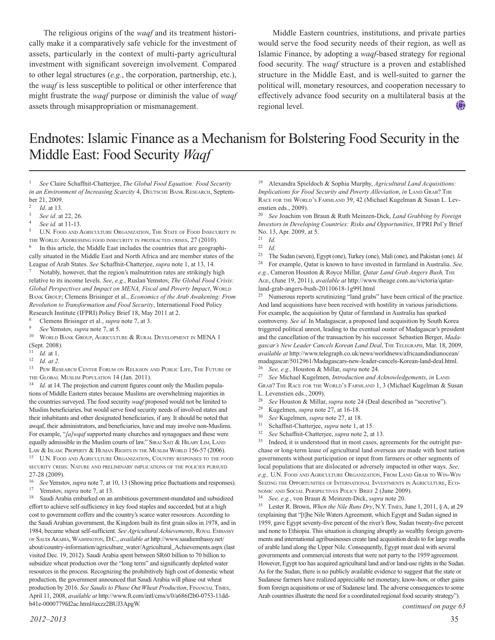The religious origins of the *waqf* and its treatment historically make it a comparatively safe vehicle for the investment of assets, particularly in the context of multi-party agricultural investment with significant sovereign involvement*.* Compared to other legal structures (*e.g.*, the corporation, partnership, etc.), the *waqf* is less susceptible to political or other interference that might frustrate the *waqf* purpose or diminish the value of *waqf* assets through misappropriation or mismanagement.

Middle Eastern countries, institutions, and private parties would serve the food security needs of their region, as well as Islamic Finance, by adopting a *waqf*-based strategy for regional food security. The *waqf* structure is a proven and established structure in the Middle East, and is well-suited to garner the political will, monetary resources, and cooperation necessary to effectively advance food security on a multilateral basis at the (國) regional level.

## Endnotes: Islamic Finance as a Mechanism for Bolstering Food Security in the Middle East: Food Security *Waqf*

<sup>1</sup> *See* Claire Schaffnit-Chatterjee, *The Global Food Equation: Food Security in an Environment of Increasing Scarcity* 4, DEUTSCHE BANK RESEARCH, September 21, 2009.

<sup>4</sup> *See id.* at 11-13.

<sup>5</sup> U.N. FOOD AND AGRICULTURE ORGANIZATION, THE STATE OF FOOD INSECURITY IN THE WORLD: ADDRESSING FOOD INSECURITY IN PROTRACTED CRISES, 27 (2010).

In this article, the Middle East includes the countries that are geographically situated in the Middle East and North Africa and are member states of the League of Arab States. *See* Schaffnit-Chatterjee, *supra* note 1, at 13, 14.

Notably, however, that the region's malnutrition rates are strikingly high relative to its income levels. *See*, *e.g.*, Ruslan Yemstov, *The Global Food Crisis:* Global Perspectives and Impact on MENA, Fiscal and Poverty Impact, WORLD BANK GROUP; Clemens Brisinger et al., *Economics of the Arab Awakening: From Revolution to Transformation and Food Security*, International Food Policy Research Institute (IFPRI) Policy Brief 18, May 2011 at 2.

Clemens Brisinger et al., *supra* note 7, at 3.

 $10$  WORLD BANK GROUP, AGRICULTURE & RURAL DEVELOPMENT IN MENA 1 (Sept. 2008).

- <sup>11</sup> *Id.* at 1.
- <sup>12</sup> *Id. at 2.*

<sup>13</sup> PEW RESEARCH CENTER FORUM ON RELIGION AND PUBLIC LIFE, THE FUTURE OF the Global Muslim Population 14 (Jan. 2011).

Id. at 14. The projection and current figures count only the Muslim populations of Middle Eastern states because Muslims are overwhelming majorities in the countries surveyed. The food security *waqf* proposed would not be limited to Muslim beneficiaries, but would serve food security needs of involved states and their inhabitants and other designated beneficiaries, if any. It should be noted that awqaf, their administrators, and beneficiaries, have and may involve non-Muslims. For example, "*[a]wqaf* supported many churches and synagogues and these were equally admissible in the Muslim courts of law." SIRAJ SAIT & HILARY LIM, LAND LAW & ISLAM: PROPERTY & HUMAN RIGHTS IN THE MUSLIM WORLD 156-57 (2006).

 $^{15}\;$  U.N. Food and Agriculture Organization, Country responses to the food security crisis: Nature and preliminary implications of the policies pursued 27-28 (2009).

<sup>16</sup> *See* Yemstov, *supra* note 7, at 10, 13 (Showing price fluctuations and responses). <sup>17</sup> Yemstov, *supra* note 7, at 13.

Saudi Arabia embarked on an ambitious government-mandated and subsidized effort to achieve self-sufficiency in key food staples and succeeded, but at a high cost to government coffers and the country's scarce water resources. According to the Saudi Arabian government, the Kingdom built its first grain silos in 1978, and in 1984, became wheat self-sufficient. *See Agricultural Achievements*, Royal Embassy of SAUDI ARABIA, WASHINGTON, D.C., *available at http://www.saudiembassy.net/* about/country-information/agriculture\_water/Agricultural\_Achievements.aspx (last visited Dec. 19, 2012). Saudi Arabia spent between SR60 billion to 70 billion to subsidize wheat production over the "long term" and significantly depleted water resources in the process. Recognizing the prohibitively high cost of domestic wheat production, the government announced that Saudi Arabia will phase out wheat production by 2016. *See Saudis to Phase Out Wheat Production*, Financial Times, April 11, 2008, *available at* http://www.ft.com/intl/cms/s/0/a686f2b0-0753-11ddb41e-0000779fd2ac.html#axzz2BUJ3ApgW.

<sup>19</sup> Alexandra Spieldoch & Sophia Murphy, *Agricultural Land Acquisitions: Implications for Food Security and Poverty Alleviation, in LAND GRAB? THE* RACE FOR THE WORLD'S FARMLAND 39, 42 (Michael Kugelman & Susan L. Levenstien eds., 2009).

<sup>20</sup> *See* Joachim von Braun & Ruth Meinzen-Dick, *Land Grabbing by Foreign Investors in Developing Countries: Risks and Opportunities*, IFPRI Pol'y Brief No. 13, Apr. 2009, at 5.

<sup>23</sup> The Sudan (seven), Egypt (one), Turkey (one), Mali (one), and Pakistan (one). *Id.*

<sup>24</sup> For example, Qatar is known to have invested in farmland in Australia. *See, e.g.*, Cameron Houston & Royce Millar, *Qatar Land Grab Angers Bush,* The Age, (June 19, 2011), *available at* http://www.theage.com.au/victoria/qatarland-grab-angers-bush-20110618-1g99l.html

<sup>25</sup> Numerous reports scrutinizing "land grabs" have been critical of the practice. And land acquisitions have been received with hostility in various jurisdictions. For example, the acquisition by Qatar of farmland in Australia has sparked controversy. *See id*. In Madagascar, a proposed land acquisition by South Korea triggered political unrest, leading to the eventual ouster of Madagascar's president and the cancellation of the transaction by his successor. Sebastien Berger, *Madagascar's New Leader Cancels Korean Land Deal*, The Telegraph, Mar. 18, 2009, *available at* http://www.telegraph.co.uk/news/worldnews/africaandindianocean/ madagascar/5012961/Madagascars-new-leader-cancels-Korean-land-deal.html.

<sup>26</sup> *See, e.g.,* Houston & Millar, *supra* note 24.

<sup>27</sup> *See* Michael Kugelmen, *Introduction and Acknowledgements*, *in* Land GRAB? THE RACE FOR THE WORLD'S FARMLAND 1, 3 (Michael Kugelman & Susan L. Levenstien eds., 2009).

- <sup>28</sup> *See* Houston & Millar, *supra* note 24 (Deal described as "secretive").
- <sup>29</sup> Kugelmen, *supra* note 27, at 16-18.
- <sup>30</sup> *See* Kugelmen, *supra* note 27, at 18.
- Schaffnit-Chatterjee, *supra* note 1, at 15.
- <sup>32</sup> *See* Schaffnit-Chatterjee, *supra* note 2, at 13.

<sup>33</sup> Indeed, it is understood that in most cases, agreements for the outright purchase or long-term lease of agricultural land overseas are made with host nation governments without participation or input from farmers or other segments of local populations that are dislocated or adversely impacted in other ways. *See, e.g., U.N. FOOD AND AGRICULTURE ORGANIZATION, FROM LAND GRAB TO WIN-WIN* SEIZING THE OPPORTUNITIES OF INTERNATIONAL INVESTMENTS IN AGRICULTURE, ECO-NOMIC AND SOCIAL PERSPECTIVES POLICY BRIEF 2 (June 2009).

<sup>34</sup> *See, e.g.*, von Braun & Meinzen-Dick, *supra* note 20.

<sup>35</sup> Lester R. Brown, *When the Nile Runs Dry*, N.Y. Times, June 1, 2011, § A, at 29 (explaining that "[t]he Nile Waters Agreement, which Egypt and Sudan signed in 1959, gave Egypt seventy-five percent of the river's flow, Sudan twenty-five percent and none to Ethiopia. This situation is changing abruptly as wealthy foreign governments and international agribusinesses create land acquisition deals to for large swaths of arable land along the Upper Nile. Consequently, Egypt must deal with several governments and commercial interests that were not party to the 1959 agreement. However, Egypt too has acquired agricultural land and/or land-use rights in the Sudan. As for the Sudan, there is no publicly available evidence to suggest that the state or Sudanese farmers have realized appreciable net monetary, know-how, or other gains from foreign acquisitions or use of Sudanese land. The adverse consequences to some Arab countries illustrate the need for a coordinated regional food security strategy").

*continued on page 63*

*Id.* at 13.

<sup>3</sup> *See id*. at 22, 26.

<sup>9</sup> *See* Yemstov, *supra* note 7, at 5.

<sup>21</sup> *Id.*

<sup>22</sup> *Id.*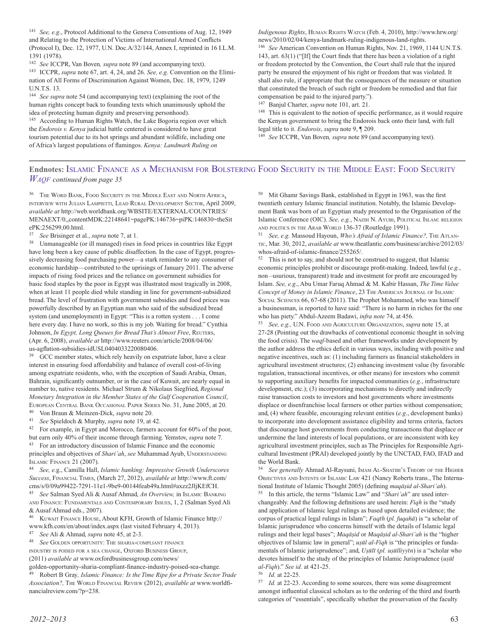<sup>141</sup> *See, e.g*., Protocol Additional to the Geneva Conventions of Aug. 12, 1949 and Relating to the Protection of Victims of International Armed Conflicts (Protocol I), Dec. 12, 1977, U.N. Doc.A/32/144, Annex I, reprinted in 16 I.L.M. 1391 (1978).

<sup>142</sup> *See* ICCPR, Van Boven*, supra* note 89 (and accompanying text). <sup>143</sup> ICCPR, *supra* note 67, art. 4, 24, and 26. *See, e.g*. Convention on the Elimination of All Forms of Discrimination Against Women, Dec. 18, 1979, 1249 U.N.T.S. 13.

<sup>144</sup> *See supra* note 54 (and accompanying text) (explaining the root of the human rights concept back to founding texts which unanimously uphold the idea of protecting human dignity and preserving personhood).

<sup>145</sup> According to Human Rights Watch, the Lake Bogoria region over which the *Endorois v. Kenya* judicial battle centered is considered to have great tourism potential due to its hot springs and abundant wildlife, including one of Africa's largest populations of flamingos. *Kenya: Landmark Ruling on*

*Indigenous Rights*, Human Rights Watch (Feb. 4, 2010), http://www.hrw.org/ news/2010/02/04/kenya-landmark-ruling-indigenous-land-rights.

<sup>146</sup> *See* American Convention on Human Rights, Nov. 21, 1969, 1144 U.N.T.S. 143, art. 63(1) ("[If] the Court finds that there has been a violation of a right or freedom protected by the Convention, the Court shall rule that the injured party be ensured the enjoyment of his right or freedom that was violated. It shall also rule, if appropriate that the consequences of the measure or situation that constituted the breach of such right or freedom be remedied and that fair compensation be paid to the injured party.").

<sup>147</sup> Banjul Charter, *supra* note 101, art. 21.

<sup>148</sup> This is equivalent to the notion of specific performance, as it would require the Kenyan government to bring the Endorois back onto their land, with full legal title to it. *Endorois*, *supra* note 9, ¶ 209.

<sup>149</sup> *See* ICCPR, Van Boven*, supra* note 89 (and accompanying text).

#### **Endnotes:** Islamic Finance as a Mechanism for Bolstering Food Security in the Middle East: Food Security *Waqf continued from page 35*

 $^{36}$  The Word Bank, Food Security in the Middle East and North  $\rm A$  , INTERVIEW WITH JULIAN LAMPIETTI, LEAD RURAL DEVELOPMENT SECTOR, April 2009, *available at* http://web.worldbank.org/WBSITE/EXTERNAL/COUNTRIES/ MENAEXT/0,,contentMDK:22148641~pagePK:146736~piPK:146830~theSit ePK:256299,00.html.

<sup>37</sup> *See* Brisinger et al., *supra* note 7, at 1.

<sup>38</sup> Unmanageable (or ill managed) rises in food prices in countries like Egypt have long been a key cause of public disaffection. In the case of Egypt, progressively decreasing food purchasing power—a stark reminder to any consumer of economic hardship—contributed to the uprisings of January 2011. The adverse impacts of rising food prices and the reliance on government subsidies for basic food staples by the poor in Egypt was illustrated most tragically in 2008, when at least 11 people died while standing in line for government-subsidized bread. The level of frustration with government subsidies and food prices was powerfully described by an Egyptian man who said of the subsidized bread system (and unemployment) in Egypt: "This is a rotten system . . . I come here every day. I have no work, so this is my job. Waiting for bread." Cynthia Johnson, *In Egypt, Long Queues for Bread That's Almost Free*, Reuters, (Apr. 6, 2008), *available at* http://www.reuters.com/article/2008/04/06/ us-agflation-subsidies-idUSL0404033220080406.

<sup>39</sup> GCC member states, which rely heavily on expatriate labor, have a clear interest in ensuring food affordability and balance of overall cost-of-living among expatriate residents, who, with the exception of Saudi Arabia, Oman, Bahrain, significantly outnumber, or in the case of Kuwait, are nearly equal in number to, native residents. Michael Strum & Nikolaus Siegfried, *Regional Monetary Integration in the Member States of the Gulf Cooperation Council*, EUROPEAN CENTRAL BANK OCCASIONAL PAPER SERIES No. 31, June 2005, at 20. <sup>40</sup> Von Braun & Meinzen-Dick, *supra* note 20.

<sup>41</sup> *See* Spieldoch & Murphy, *supra* note 19, at 42.

<sup>42</sup> For example, in Egypt and Morocco, farmers account for 60% of the poor, but earn only 40% of their income through farming. Yemstov, *supra* note 7. <sup>43</sup> For an introductory discussion of Islamic Finance and the economic

principles and objectives of *Shari'ah*, see Muhammad Ayub, UNDERSTANDING Islamic Finance 21 (2007).

<sup>44</sup> *See, e.*g., Camilla Hall, *Islamic banking: Impressive Growth Underscores Success*, Financial Times, (March 27, 2012), *available at* http://www.ft.com/ cms/s/0/09a99422-7291-11e1-9be9-00144feab49a.html#axzz2JljKEfCH.

<sup>45</sup> *See* Salman Syed Ali & Ausaf Ahmad, *An Overview,* in Islamic Banking and Finance: Fundamentals and Contemporary Issues, 1, 2 (Salman Syed Ali & Ausaf Ahmad eds., 2007).

<sup>46</sup> Kuwait Finance House, About KFH, Growth of Islamic Finance http:// www.kfh.com/en/about/index.aspx (last visited February 4, 2013).<br><sup>47</sup> See Ali & Ahmed sungs poto 45 at 2.3<sup>2</sup>

<sup>47</sup> *See* Ali & Ahmad, *supra* note 45, at 2-3.

See GOLDEN OPPORTUNITY: THE SHARIA-COMPLIANT FINANCE

INDUSTRY IS POISED FOR A SEA CHANGE, OXFORD BUSINESS GROUP,

(2011) *available at* www.oxfordbusinessgroup.com/news/

golden-opportunity-sharia-compliant-finance-industry-poised-sea-change*.*

<sup>49</sup> Robert B Gray*, Islamic Finance: Is the Time Ripe for a Private Sector Trade* Association?, THE WORLD FINANCIAL REVIEW (2012), *available at* www.worldfinancialreview.com/?p=238.

<sup>50</sup> Mit Ghamr Savings Bank, established in Egypt in 1963, was the first twentieth century Islamic financial institution. Notably, the Islamic Development Bank was born of an Egyptian study presented to the Organisation of the Islamic Conference (OIC). *See, e.g.*, NAZIH N. AYUBI, POLITICAL ISLAM: RELIGION AND POLITICS IN THE ARAB WORLD 136-37 (Routledge 1991).

<sup>51</sup> *See, e.g.* Massoud Hayoun, *Who's Afraid of Islamic Finance?*, THE ATLANtic, Mar. 30, 2012, *available at* www.theatlantic.com/business/archive/2012/03/ whos-afraid-of-islamic-finance/255265/.

<sup>52</sup> This is not to say, and should not be construed to suggest, that Islamic economic principles prohibit or discourage profit-making. Indeed, lawful (*e.g.*, non –usurious, transparent) trade and investment for profit are encouraged by Islam. *See, e.g*., Abu Umar Faruq Ahmad & M. Kabir Hassan, *The Time Value* Concept of Money in Islamic Finance, 23 THE AMERICAN JOURNAL OF ISLAMIC Social Sciences 66, 67-68 (2011). The Prophet Mohammed, who was himself a businessman, is reported to have said: "There is no harm in riches for the one who has piety." Abdul-Azeem Badawi, *infra note* 74, at 456.

See, e.g., U.N. FOOD AND AGRICULTURE ORGANIZATION, *supra* note 15, at 27-28 (Pointing out the drawbacks of conventional economic thought in solving the food crisis). The *waqf-*based and other frameworks under development by the author address the ethics deficit in various ways, including with positive and negative incentives, such as: (1) including farmers as financial stakeholders in agricultural investment structures; (2) enhancing investment value (by favorable regulation, transactional incentives, or other means) for investors who commit to supporting auxiliary benefits for impacted communities (*e.g*., infrastructure development, etc.); (3) incorporating mechanisms to directly and indirectly raise transaction costs to investors and host governments where investments displace or disenfranchise local farmers or other parties without compensation; and, (4) where feasible, encouraging relevant entities (*e.g*., development banks) to incorporate into development assistance eligibility and terms criteria, factors that discourage host governments from conducting transactions that displace or undermine the land interests of local populations, or are inconsistent with key agricultural investment principles, such as The Principles for Responsible Agricultural Investment (PRAI) developed jointly by the UNCTAD, FAO, IFAD and the World Bank.

<sup>54</sup> *See generally* Ahmad Al-Raysuni, IMAM AL-SHATIBI's THEORY OF THE HIGHER OBJECTIVES AND INTENTS OF ISLAMIC LAW 421 (Nancy Roberts trans., The International Institute of Islamic Thought 2005) (defining *maqāṣid al-Shari'ah*).

<sup>55</sup> In this article, the terms "Islamic Law" and "*Shari'ah*" are used interchangeably. And the following definitions are used herein: *Fiqh* is the "study and application of Islamic legal rulings as based upon detailed evidence; the corpus of practical legal rulings in Islam"; *Faqīh* (*pl. fuqahā*) is "a scholar of Islamic jurisprudence who concerns himself with the details of Islamic legal rulings and their legal bases"; *Maqāṣid* or *Maqāṣid al-Shari'ah* is the "higher objectives of Islamic law in general"; *uṣūl al-Fiqh* is "the principles or fundamentals of Islamic jurisprudence"; and, *Uṣūlī* (*pl. uṣūlliyyīn*) is a "scholar who devotes himself to the study of the principles of Islamic Jurisprudence (*uṣūl al-Fiqh*)." *See id.* at 421-25.

<sup>56</sup> *Id.* at 22-25.

<sup>57</sup> *Id.* at 22-23. According to some sources, there was some disagreement amongst influential classical scholars as to the ordering of the third and fourth categories of "essentials", specifically whether the preservation of the faculty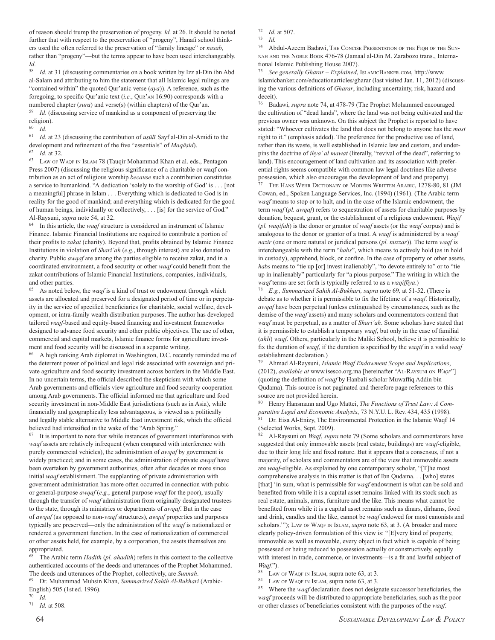of reason should trump the preservation of progeny. *Id.* at 26. It should be noted further that with respect to the preservation of "progeny", Hanafi school thinkers used the often referred to the preservation of "family lineage" or *nasab*, rather than "progeny"—but the terms appear to have been used interchangeably. *Id.*

<sup>58</sup> *Id.* at 31 (discussing commentaries on a book written by Izz al-Din ibn Abd al-Salam and attributing to him the statement that all Islamic legal rulings are "contained within" the quoted Qur'anic verse (*aya*)). A reference, such as the foregoing, to specific Qur'anic text (*i.e.*, Qur'an 16:90) corresponds with a numbered chapter (*sura*) and verse(s) (within chapters) of the Qur'an.

<sup>59</sup> *Id*. (discussing service of mankind as a component of preserving the religion).<br> $60 \tLJ$ 

<sup>60</sup> *Id*.

<sup>61</sup> *Id.* at 23 (discussing the contribution of *uṣūlī* Sayf al-Din al-Amidi to the development and refinement of the five "essentials" of *Maqāṣid*). <sup>62</sup> *Id*. at 32.

<sup>63</sup> Law of Waqf in Islam 78 (Tauqir Mohammad Khan et al. eds., Pentagon Press 2007) (discussing the religious significance of a charitable or waqf contribution as an act of religious worship *because* such a contribution constitutes a service to humankind. "A dedication 'solely to the worship of God' is . . . [not a meaningful] phrase in Islam . . . Everything which is dedicated to God is in reality for the good of mankind; and everything which is dedicated for the good of human beings, individually or collectively, . . . [is] for the service of God." Al-Raysuni, *supra* note 54, at 32.

<sup>64</sup> In this article, the *waqf* structure is considered an instrument of Islamic Finance. Islamic Financial Institutions are required to contribute a portion of their profits to *zakat* (charity). Beyond that, profits obtained by Islamic Finance Institutions in violation of *Shari'ah* (*e.g.*, through interest) are also donated to charity. Public *awqaf* are among the parties eligible to receive zakat, and in a coordinated environment, a food security or other *waqf* could benefit from the zakat contributions of Islamic Financial Institutions, companies, individuals, and other parties.

<sup>65</sup> As noted below, the *waqf* is a kind of trust or endowment through which assets are allocated and preserved for a designated period of time or in perpetuity in the service of specified beneficiaries for charitable, social welfare, development, or intra-family wealth distribution purposes. The author has developed tailored *waqf*-based and equity-based financing and investment frameworks designed to advance food security and other public objectives. The use of other, commercial and capital markets, Islamic finance forms for agriculture investment and food security will be discussed in a separate writing.

<sup>66</sup> A high ranking Arab diplomat in Washington, D.C. recently reminded me of the deterrent power of political and legal risk associated with sovereign and private agriculture and food security investment across borders in the Middle East. In no uncertain terms, the official described the skepticism with which some Arab governments and officials view agriculture and food security cooperation among Arab governments. The official informed me that agriculture and food security investment in non-Middle East jurisdictions (such as in Asia), while financially and geographically less advantageous, is viewed as a politically and legally stable alternative to Middle East investment risk, which the official believed had intensified in the wake of the "Arab Spring."

 $7<sup>7</sup>$  It is important to note that while instances of government interference with *waqf* assets are relatively infrequent (when compared with interference with purely commercial vehicles), the administration of *awqaf* by government is widely practiced; and in some cases, the administration of private *awqaf* have been overtaken by government authorities, often after decades or more since initial *waqf* establishment. The supplanting of private administration with government administration has more often occurred in connection with pubic or general-purpose *awqaf* (*e.g.*, general purpose *waqf* for the poor), usually through the transfer of *waqf* administration from originally designated trustees to the state, through its ministries or departments of *awqaf*. But in the case of *awqaf* (as opposed to non-*waqf* structures), *awqaf* properties and purposes typically are preserved—only the administration of the *waqf* is nationalized or rendered a government function. In the case of nationalization of commercial or other assets held, for example, by a corporation, the assets themselves are appropriated.

<sup>68</sup> The Arabic term *Hadith* (*pl. ahadith*) refers in this context to the collective authenticated accounts of the deeds and utterances of the Prophet Mohammed. The deeds and utterances of the Prophet, collectively, are *Sunnah*.

<sup>69</sup> Dr. Muhammad Muhsin Khan, *Summarized Sahih Al-Bukhari* (Arabic-English) 505 (1st ed. 1996).

<sup>70</sup> *Id*.

<sup>71</sup> *Id.* at 508.

 $\frac{72}{73}$  *Id.* at 507.

<sup>74</sup> Abdul-Azeem Badawi, The Concise Presentation of the Fiqh of the Sunnah and the Noble Book 476-78 (Jamaal al-Din M. Zarabozo trans., International Islamic Publishing House 2007).

75 *See generally Gharar – Explained*, ISLAMICBANKER.COM, http://www. islamicbanker.com/educationarticles/gharar (last visited Jan. 11, 2012) (discussing the various definitions of *Gharar*, including uncertainty, risk, hazard and deceit).

<sup>76</sup> Badawi, *supra* note 74, at 478-79 (The Prophet Mohammed encouraged the cultivation of "dead lands", where the land was not being cultivated and the previous owner was unknown. On this subject the Prophet is reported to have stated: "Whoever cultivates the land that does not belong to anyone has the *most* right to it." (emphasis added). The preference for the productive use of land, rather than its waste, is well established in Islamic law and custom, and underpins the doctrine of *ihya' al mawat* (literally, "revival of the dead", referring to land). This encouragement of land cultivation and its association with preferential rights seems compatible with common law legal doctrines like adverse possession, which also encourages the development of land and property).

<sup>77</sup> The Hans Wehr Dictionary of Modern Written Arabic, 1278-80, 81 (JM Cowan, ed., Spoken Language Services, Inc. (1994) (1961). (The Arabic term *waqf* means to stop or to halt, and in the case of the Islamic endowment, the term *waqf* (*pl. awqaf*) refers to sequestration of assets for charitable purposes by donation, bequest, grant, or the establishment of a religious endowment. *Waqif* (*pl. waqifah*) is the donor or grantor of *waqf* assets (or the *waqf* corpus) and is analogous to the donor or grantor of a trust. A *waqf* is administered by a *waqf nazir* (one or more natural or juridical persons (*pl. nuzzar*)). The term *waqf* is interchangeable with the term "*habs*", which means to actively hold (as in hold in custody), apprehend, block, or confine. In the case of property or other assets, *habs* means to "tie up [or] invest inalienably", "to devote entirely to" or to "tie up in inalienably" particularly for "a pious purpose." The writing in which the *waqf* terms are set forth is typically referred to as a *waqiffiya*.)

<sup>78</sup> *E.g., Summarized Sahih Al-Bukhari, supra* note 69*,* at 51-52. (There is debate as to whether it is permissible to fix the lifetime of a *waqf*. Historically, *awqaf* have been perpetual (unless extinguished by circumstances, such as the demise of the *waqf* assets) and many scholars and commentators contend that *waqf* must be perpetual, as a matter of *Shari'ah*. Some scholars have stated that it is permissible to establish a temporary *waqf*, but only in the case of familial (*ahli*) *waqf*. Others, particularly in the Maliki School, believe it is permissible to fix the duration of *waqf*, if the duration is specified by the *waqif* in a valid *waqf* establishment declaration.)

<sup>79</sup> Ahmad Al-Raysuni, *Islamic Waqf Endowment Scope and Implications*, (2012), *available at* www.isesco.org.ma [hereinafter "AL-RAYSUNI ON *WAQF*"] (quoting the definition of *waqf* by Hanbali scholar Muwaffiq Addin bin Qudama). This source is not paginated and therefore page references to this source are not provided herein.

<sup>80</sup> Henry Hansmann and Ugo Mattei, *The Functions of Trust Law: A Comparative Legal and Economic Analysis*, 73 N.Y.U. L. Rev. 434, 435 (1998). <sup>81</sup> Dr. Eisa Al-Enizy, The Environmental Protection in the Islamic Waqf 14 (Selected Works, Sept. 2009).

<sup>82</sup> Al-Raysuni on *Waqf*, *supra* note 79 (Some scholars and commentators have suggested that only immovable assets (real estate, buildings) are *waqf*-eligible, due to their long life and fixed nature. But it appears that a consensus, if not a majority, of scholars and commentators are of the view that immovable assets are *waqf*-eligible. As explained by one contemporary scholar, "[T]he most comprehensive analysis in this matter is that of Ibn Qudama. . . [who] states [that] 'in sum, what is permissible for *waqf* endowment is what can be sold and benefited from while it is a capital asset remains linked with its stock such as real estate, animals, arms, furniture and the like. This means what cannot be benefited from while it is a capital asset remains such as dinars, dirhams, food and drink, candles and the like, cannot be *waqf* endowed for most canonists and scholars.""); Law OF WAQF IN ISLAM, *supra* note 63, at 3. (A broader and more clearly policy-driven formulation of this view is: "[E]very kind of property, immovable as well as moveable, every object in fact which is capable of being possessed or being reduced to possession actually or constructively, equally with interest in trade, commerce, or investments—is a fit and lawful subject of *Waqf*.").

LAW OF WAQF IN ISLAM, supra note 63, at 3.

LAW OF WAQF IN ISLAM, supra note 63, at 3.

<sup>85</sup> Where the *waqf* declaration does not designate successor beneficiaries, the *waqf* proceeds will be distributed to appropriate beneficiaries, such as the poor or other classes of beneficiaries consistent with the purposes of the *waqf*.

<sup>73</sup> *Id.*